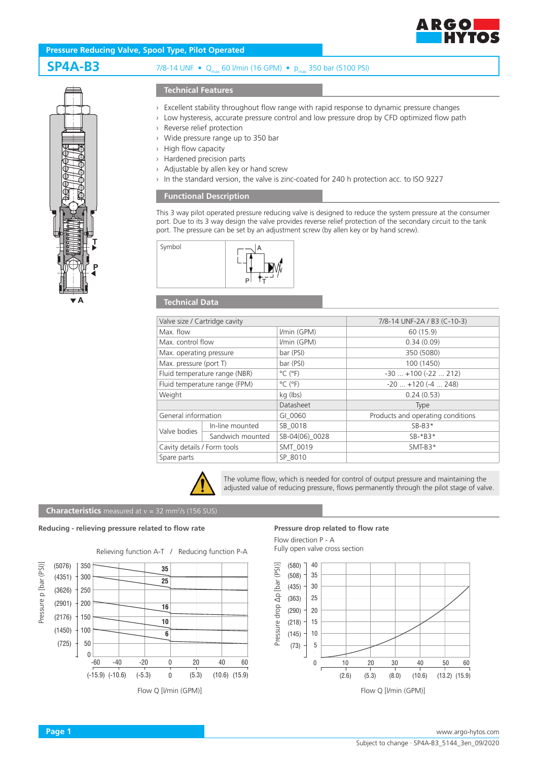

# **Pressure Reducing Valve, Spool Type, Pilot Operated**

**SP4A-B3** 7/8-14 UNF • Q<sub>max</sub> 60 l/min (16 GPM) • p<sub>max</sub> 350 bar (5100 PSI)

# **T P A**

### **Technical Features**

- › Excellent stability throughout flow range with rapid response to dynamic pressure changes
- › Low hysteresis, accurate pressure control and low pressure drop by CFD optimized flow path
- › Reverse relief protection
- › Wide pressure range up to 350 bar
- › High flow capacity
- › Hardened precision parts
- › Adjustable by allen key or hand screw
- › In the standard version, the valve is zinc-coated for 240 h protection acc. to ISO 9227

## **Functional Description**

This 3 way pilot operated pressure reducing valve is designed to reduce the system pressure at the consumer port. Due to its 3 way design the valve provides reverse relief protection of the secondary circuit to the tank port. The pressure can be set by an adjustment screw (by allen key or by hand screw).



## **Technical Data**

| Valve size / Cartridge cavity |                  |                              | 7/8-14 UNF-2A / B3 (C-10-3)       |
|-------------------------------|------------------|------------------------------|-----------------------------------|
| Max. flow                     |                  | I/min (GPM)                  | 60 (15.9)                         |
| Max. control flow             |                  | I/min (GPM)                  | 0.34(0.09)                        |
| Max. operating pressure       |                  | bar (PSI)                    | 350 (5080)                        |
| Max. pressure (port T)        |                  | bar (PSI)                    | 100 (1450)                        |
| Fluid temperature range (NBR) |                  | $^{\circ}$ C ( $^{\circ}$ F) | $-30+100(-22212)$                 |
| Fluid temperature range (FPM) |                  | $^{\circ}$ C ( $^{\circ}$ F) | $-20$ $+120$ ( $-4$ 248)          |
| Weight                        |                  | kg (lbs)                     | 0.24(0.53)                        |
|                               |                  | Datasheet                    | Type                              |
| General information           |                  | GI 0060                      | Products and operating conditions |
| Valve bodies                  | In-line mounted  | SB_0018                      | $SB-B3*$                          |
|                               | Sandwich mounted | SB-04(06) 0028               | $SB-*B3*$                         |
| Cavity details / Form tools   |                  | SMT 0019                     | $SMT-B3*$                         |
| Spare parts                   |                  | SP 8010                      |                                   |
|                               |                  |                              |                                   |



The volume flow, which is needed for control of output pressure and maintaining the adjusted value of reducing pressure, flows permanently through the pilot stage of valve.

#### **Characteristics** measured at v = 32 mm<sup>2</sup>/s (156 SUS)

#### **Reducing - relieving pressure related to flow rate Pressure drop related to flow rate**



Flow direction P - A Fully open valve cross section